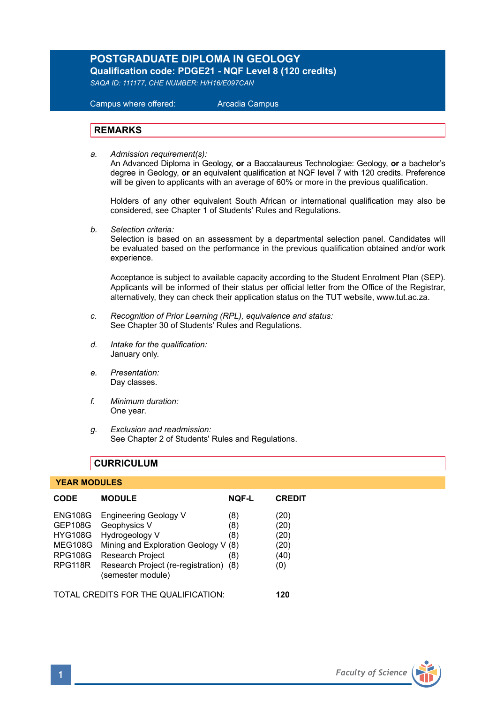## **POSTGRADUATE DIPLOMA IN GEOLOGY Qualification code: PDGE21 - NQF Level 8 (120 credits)**

*SAQA ID: 111177, CHE NUMBER: H/H16/E097CAN*

 Campus where offered: Arcadia Campus

#### **REMARKS**

*a. Admission requirement(s):* 

An Advanced Diploma in Geology, **or** a Baccalaureus Technologiae: Geology, **or** a bachelor's degree in Geology, **or** an equivalent qualification at NQF level 7 with 120 credits. Preference will be given to applicants with an average of 60% or more in the previous qualification.

Holders of any other equivalent South African or international qualification may also be considered, see Chapter 1 of Students' Rules and Regulations.

*b. Selection criteria:*

Selection is based on an assessment by a departmental selection panel. Candidates will be evaluated based on the performance in the previous qualification obtained and/or work experience.

Acceptance is subject to available capacity according to the Student Enrolment Plan (SEP). Applicants will be informed of their status per official letter from the Office of the Registrar, alternatively, they can check their application status on the TUT website, www.tut.ac.za.

- *c. Recognition of Prior Learning (RPL), equivalence and status:* See Chapter 30 of Students' Rules and Regulations.
- *d. Intake for the qualification:* January only.
- *e. Presentation:* Day classes.
- *f. Minimum duration:* One year.
- *g. Exclusion and readmission:* See Chapter 2 of Students' Rules and Regulations.

### **CURRICULUM**

#### **YEAR MODULES**

| <b>CODE</b>                                                                                       | <b>MODULE</b>                                                                                                                                                                                    | <b>NOF-L</b>             | <b>CREDIT</b>                               |
|---------------------------------------------------------------------------------------------------|--------------------------------------------------------------------------------------------------------------------------------------------------------------------------------------------------|--------------------------|---------------------------------------------|
| <b>ENG108G</b><br><b>GEP108G</b><br><b>HYG108G</b><br><b>MEG108G</b><br><b>RPG108G</b><br>RPG118R | <b>Engineering Geology V</b><br>Geophysics V<br>Hydrogeology V<br>Mining and Exploration Geology V (8)<br><b>Research Project</b><br>Research Project (re-registration) (8)<br>(semester module) | (8)<br>(8)<br>(8)<br>(8) | (20)<br>(20)<br>(20)<br>(20)<br>(40)<br>(0) |
| TOTAL CREDITS FOR THE QUALIFICATION:                                                              |                                                                                                                                                                                                  |                          | 120                                         |